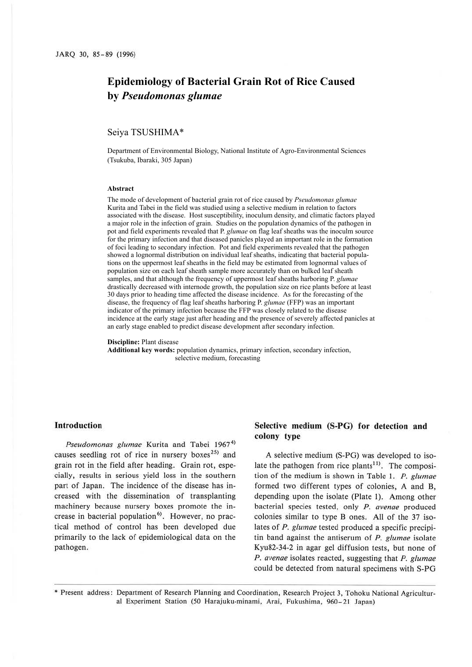# **Epidemiology of Bacterial Grain Rot of Rice Caused by** *Pseudomonas glumae*

# Seiya TSUSHIMA\*

Department of Environmental Biology, National Institute of Agro-Environmental Sciences (Tsukuba, Ibaraki, 305 Japan)

#### **Abstract**

The mode of development of bacterial grain rot of rice caused by *Pseudomonas glumae* Kurita and Tabei in the field was studied using a selective medium in relation to factors associated with the disease. Host susceptibility, inoculum density, and climatic factors played a major role in the infection of grain. Studies on the population dynamics of the pathogen in pot and field experiments revealed that P. *glumae* on flag leaf sheaths was the inoculm source for the primary infection and that diseased panicles played an important role in the formation of foci leading to secondary infection. Pot and field experiments revealed that the pathogen showed a lognormal distribution on individual leaf sheaths, indicating that bacterial populations on the uppermost leaf sheaths in the field may be estimated from lognormal values of population size on each leaf sheath sample more accurately than on bulked leaf sheath samples, and that although the frequency of uppermost leaf sheaths harboring P. *glumae* drastically decreased with internode growth, the population size on rice plants before at least 30 days prior to heading time affected the disease incidence. As for the forecasting of the disease, the frequency of flag leaf sheaths harboring P. *glumae* (FFP) was an important indicator of the primary infection because the FFP was closely related to the disease incidence at the early stage just after heading and the presence of severely affected panicles at an early stage enabled to predict disease development after secondary infection.

#### **Discipline:** Plant disease

**Additional key words:** population dynamics, primary infection, secondary infection, selective medium, forecasting

# **Introduction**

Pseudomonas glumae Kurita and Tabei 1967<sup>4)</sup> causes seedling rot of rice in nursery boxes<sup>25)</sup> and grain rot in the field after heading. Grain rot, especially, results in serious yield loss in the southern part of Japan. The incidence of the disease has increased with the dissemination of transplanting machinery because nursery boxes promote the increase in bacterial population<sup>6)</sup>. However, no practical method of control has been developed due primarily to the lack of epidemiological data on the pathogen.

# **Selective medium (S-PG) for detection and colony type**

**A** selective medium (S-PG) was developed to isolate the pathogen from rice plants<sup>11)</sup>. The composition of the medium is shown in Table I. P. glumae formed two different types of colonies, **A** and B, depending upon the isolate (Plate 1). Among other bacterial species tested, only P. avenae produced colonies similar to type B ones. All of the 37 isolates of *P. glumae* tested produced a specific precipitin band against the antiserum of  $P$ . glumae isolate Kyu82-34-2 in agar gel diffusion tests, but none of *P.* avenae isolates reacted, suggesting that P. glumae could be detected from natural specimens with S-PG

• Present address: Department of Research Planning and Coordination, Research Project 3, Tohoku National Agricultural Experiment Station (50 Harajuku-minami, Arai, Fukushima, 960-21 Japan)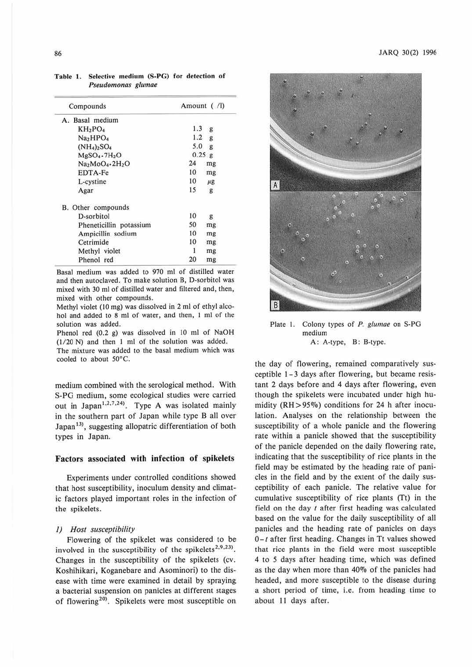| Compounds                        | Amount ( /l) |         |
|----------------------------------|--------------|---------|
| A. Basal medium                  |              |         |
| $KH_2PO_4$                       | 1.3          | g       |
| Na <sub>2</sub> HPO <sub>4</sub> | 1.2<br>g     |         |
| $(NH_4)_2SO_4$                   | 5.0<br>g     |         |
| $MgSO4$ -7 $H2O$                 | 0.25 g       |         |
| $Na2MoO4 - 2H2O$                 | 24           | mg      |
| EDTA-Fe                          | 10           | mg      |
| L-cystine                        | 10           | $\mu$ g |
| Agar                             | 15           | g       |
| B. Other compounds               |              |         |
| D-sorbitol                       | 10           | g       |
| Pheneticillin potassium          | 50           | mg      |
| Ampicillin sodium                | 10           | mg      |
| Cetrimide                        | 10           | mg      |
| Methyl violet                    | 1            | mg      |
| Phenol red                       | 20           | mg      |

Table I. Selective medium **(S-PG)** for detection of Pseudomonas glumae

Basal medium was added to 970 ml of distilled water and then autoclaved. To make solution B, D-sorbitol was mixed with 30 ml of distilled water and filtered and, then, mixed with other compounds.

Methyl violet (10 mg) was dissolved in 2 ml of ethyl alcohol and added 10 8 ml of water, and then, I ml of the solution was added.

Phenol red (0.2 g) was dissolved in 10 ml of NaOH (1/20 N) and then 1 ml of the solution was added.

The mixture was added 10 the basal medium which was cooled 10 about 50°C.

medium combined with the serological method. With S-PG medium, some ecological studies were carried out in Japan<sup>1,2,7,24</sup>. Type A was isolated mainly in the southern part of Japan while type **B** all over Japan<sup>13</sup>, suggesting allopatric differentiation of both types in Japan.

## **Factors associated with infection of spikelets**

Experiments under controlled conditions showed that host susceptibility, inoculum density and climatic factors played important roles in the infection of the spikelets.

## *I) Host susceptibility*

Flowering of the spikelet was considered to be involved in the susceptibility of the spikelets<sup>2,9,23)</sup>. Changes in the susceptibility of the spikelets (cv. Koshihikari, Koganebare and Asominori) to the disease with time were examined in detail by spraying, a bacterial suspension on panicles at different stages of flowering<sup>20)</sup>. Spikelets were most susceptible on



Plate I. Colony types of P. glumae on S-PG medium A: A-type, B: B-type.

the day of flowering, remained comparatively susceptible 1-3 days after flowering, but became resistant 2 days before and 4 days after flowering, even though the spikelets were incubated under high humidity ( $RH$  > 95%) conditions for 24 h after inoculation. Analyses on the relationship between the susceptibility of a whole panicle and the flowering rate within a panicle showed that the susceptibility of the panicle depended on the daily flowering rate, indicating that the susceptibility of rice plants in the field may be estimated by the heading rate of panicles in the field and by the extent of the daily susceptibility of each panicle. The relative value for cumulative susceptibility of rice plants  $(Tt)$  in the field on the day *t* after first heading was calculated based on the value for the daily susceptibility of all panicles and the heading rate of panicles on days *0-t* after first heading. Changes in Tt values showed that rice plants in the field were most susceptible 4 to *5* days after heading time, which was defined as the day when more than 40% of the panicles had headed, and more susceptible to the disease during a short period of time, i.e. from heading time to about 11 days after.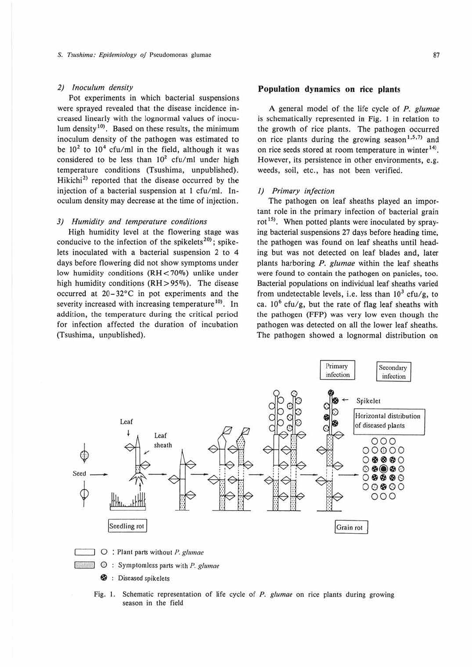#### *2) lnoculum density*

Pot experiments in which bacterial suspensions were sprayed revealed that the disease incidence increased linearly with the lognormaJ values of inoculum density<sup>10)</sup>. Based on these results, the minimum inoculum density of the pathogen was estimated to be  $10^2$  to  $10^4$  cfu/ml in the field, although it was considered to be less than  $10^2$  cfu/ml under high temperature conditions (Tsushima, unpublished}. Hikichi<sup>2)</sup> reported that the disease occurred by the injection of a bacterial suspension at 1 cfu/ml. lnoculum density may decrease at the time of injection.

### *3) Humidity and temperature conditions*

High humidity level at the flowering stage was conducive to the infection of the spikelets<sup>20</sup>; spikelets inoculated with a bacterial suspension 2 to 4 days before flowering did not show symptoms under low humidity conditions  $(RH < 70\%)$  unlike under high humidity conditions (RH > 95%). The disease occurred at 20-32°C in pot experiments and the severity increased with increasing temperature<sup>10</sup>. In addition, the temperature during the critical period for infection affected the duration of incubation (Tsushima, unpublished).

# **Population dynamics on rice plants**

**A** general model of the life cycle of *P. glumae*  is schematically represented in Fig. I in relation to the growth of rice plants. The pathogen occurred on rice plants during the growing season<sup>1,5,7)</sup> and on rice seeds stored at room temperature in winter<sup>14)</sup>. However, its persistence in other environments, e.g. weeds, soil, etc., has not been verified.

#### I) *Primary infection*

The pathogen on leaf sheaths played an important role in the primary infection of bacterial grain rot<sup>15)</sup>. When potted plants were inoculated by spraying bacterial suspensions 27 days before heading time, the pathogen was found on leaf sheaths until heading but was not detected on leaf blades and, later plants harboring P. *glumae* within the leaf sheaths were found to contain the pathogen on panicles, too. Bacterial populations on individual leaf sheaths varied from undetectable levels, i.e. less than  $10^3$  cfu/g, to ca.  $10^6$  cfu/g, but the rate of flag leaf sheaths with the pathogen (FFP) was very low even though the pathogen was detected on all the lower leaf sheaths. The pathogen showed a lognormal distribution on



Fig. I. Schematic representation of life cycle of P. glumae on rice plants during growing season in the field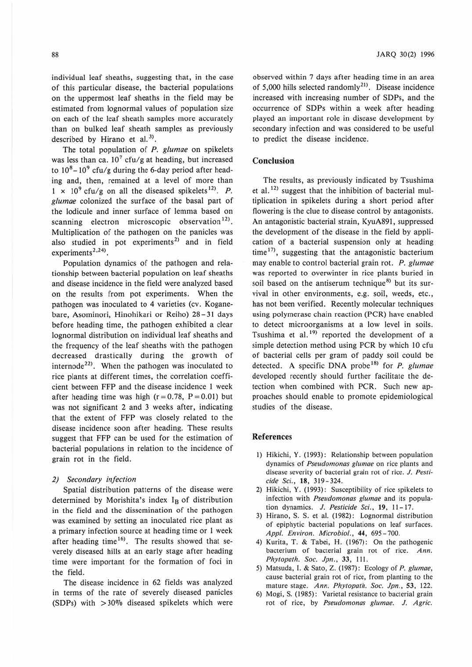individual leaf sheaths, suggesting that, in the case of this particular disease, the bacterial populations on the uppermost leaf sheaths in the field may be estimated from lognormal values of population size on each of the leaf sheath samples more accurately than on bulked leaf sheath samples as previously described by Hirano et al.<sup>3)</sup>.

The total population of P. glumae on spikelets was less than ca.  $10^7$  cfu/g at heading, but increased to  $10^8 - 10^9$  cfu/g during the 6-day period after heading and, then, remained at a level of more than  $1 \times 10^9$  cfu/g on all the diseased spikelets<sup>12)</sup>. *P*. glumae colonized the surface of the basal part of the lodicule and inner surface of lemma based on scanning electron microscopic observation<sup>12)</sup>. Multiplication of the pathogen on the panicles was also studied in pot experiments<sup>2)</sup> and in field  $experiments<sup>2,24</sup>$ .

Population dynamics of the pathogen and relationship between bacterial population on leaf sheaths and disease incidence in the field were analyzed based on the results from pol experiments. When the pathogen was inoculated to 4 varieties (cv. Koganebare, Asominori, Hinohikari or Reiho) 28-31 days before heading time, the pathogen exhibited a clear lognormal distribution on individual leaf sheaths and the frequency of the leaf sheaths with the pathogen decreased drastically during the growth of internode<sup>22)</sup>. When the pathogen was inoculated to rice plants at different times, the correlation coeffi. cient between FFP and the disease incidence I week after heading time was high ( $r = 0.78$ ,  $P = 0.01$ ) but was not significant 2 and 3 weeks after, indicating that the extent of FFP was closely related to the disease incidence soon after heading. These results suggest that FFP can be used for the estimation of bacterial populations in relation to the incidence of grain rot in the field.

#### *2) Secondary infection*

Spatial distribution patterns of the disease were determined by Morishita's index  $I_B$  of distribution in the field and the dissemination of the pathogen was examined by setting an inoculated rice plant as a primary infection source at heading time or 1 week after heading time<sup>16)</sup>. The results showed that severely diseased hills at an early stage after heading time were important for the formation of foci in the field.

The disease incidence in 62 fields was analyzed in terms of the rate of severely diseased panicles (SDPs) with  $>30\%$  diseased spikelets which were

observed within 7 days after heading time in an area of 5,000 hills selected randomly<sup>21)</sup>. Disease incidence increased with increasing number of SDPs, and the occurrence of SDPs within a week after heading played an important role in disease development by secondary infection and was considered to be useful to predict the disease incidence.

# **Conc.lusion**

The results, as previously indicated by Tsushima et al.<sup>12)</sup> suggest that the inhibition of bacterial multiplication in spikelets during a short period after flowering is the clue to disease control by antagonists. An antagonistic bacterial strain, KyuA891, suppressed the development of the disease in the field by application of a bacterial suspension only at heading time<sup>17)</sup>, suggesting that the antagonistic bacterium may enable to control bacterial grain rot. *P. glumae* was reported to overwinter in rice plants buried in soil based on the antiserum technique<sup>8)</sup> but its survival in other environments, e.g. soil, weeds, etc., has not been verified. Recently molecular techniques using polymerase chain reaction (PCR) have enabled to detect microorganisms at a low level in soils. Tsushima et al.<sup>19)</sup> reported the development of a simple detection method using PCR by which 10 cfu of bacterial cells per gram of paddy soil could be detected. A specific DNA probe<sup>18)</sup> for  $P$ . glumae developed recently should further facilitate the detection when combined with PCR. Such new approaches should enable to promote epidemiological studies of the disease.

## **References**

- I) Hikichi, Y. (1993): Relationship between population dynamics of Pseudomonas glumae on rice plants and disease severity of bacterial grain rot of rice. J. Pesticide Sci., **18,** 319-324.
- 2) Hikichi, Y. (1993): Susceptibility of rice spikelets to infection with Pseudomonas glumae and its population dynamics. J. Pesticide Sci., 19, 11-17.
- 3) Hirano, S. S. ct al. (1982): Lognormal distribution of epiphytic bacterial populations on leaf surfaces. Appl. Environ. Microbiol., **44,** 695-700.
- 4) Kurita, T. & Tabei, H. (1967): On the pathogenic bacterium of bacterial grain rot of rice. Ann. Phytopath. Soc. Jpn., 33, 111.
- 5) Matsuda, I. & Sato, z. (1987): Ecology of P. glumae, cause bacterial grain rot of rice, from planting to the mature stage. Ann. Phytopath. Soc. Jpn., 53, 122.
- 6) Mogi, S. (1985): Varietal resistance to bacterial grain rot of rice, by Pseudomonas glumae. J. Agric.